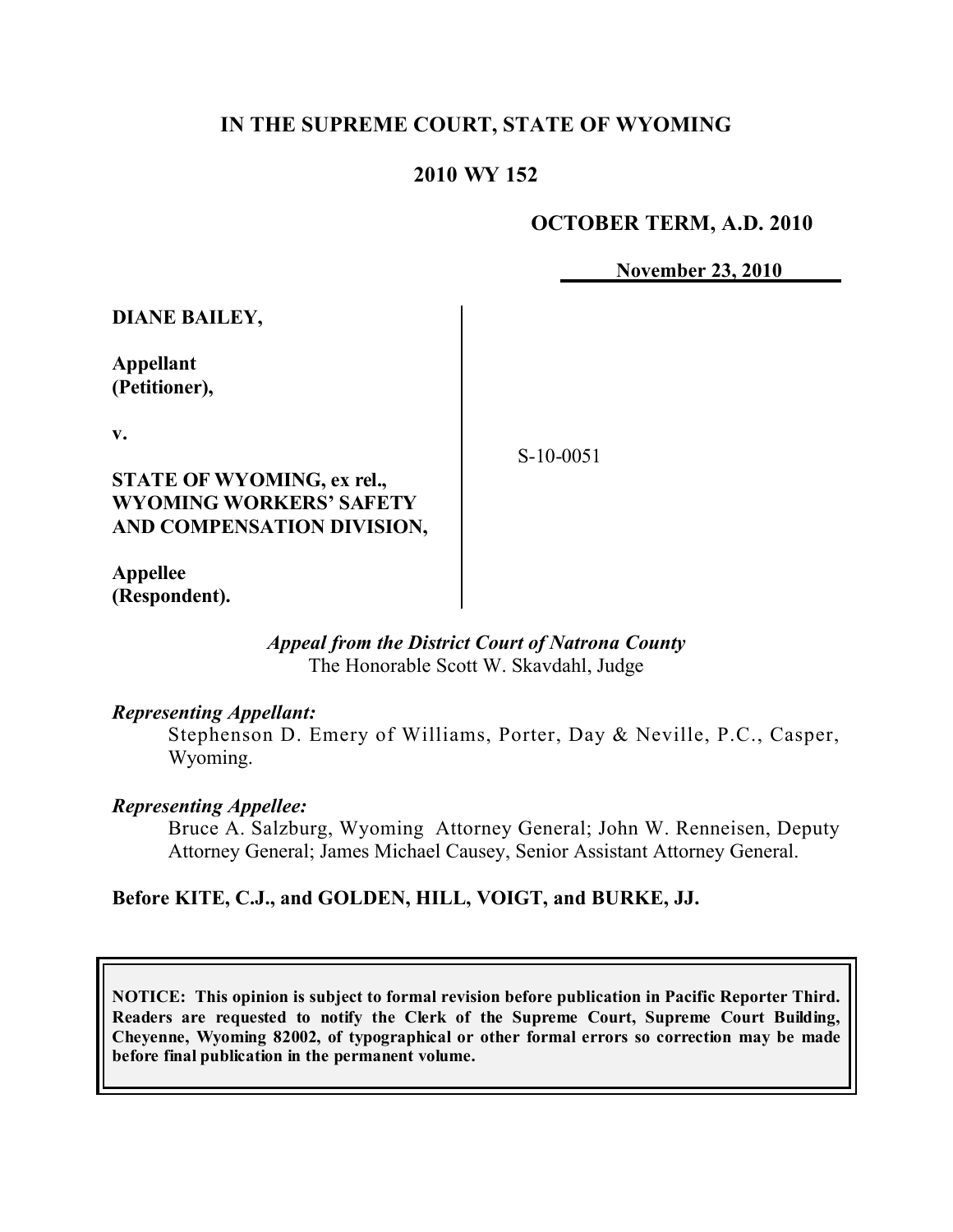# **IN THE SUPREME COURT, STATE OF WYOMING**

# **2010 WY 152**

#### **OCTOBER TERM, A.D. 2010**

**November 23, 2010**

**DIANE BAILEY,**

**Appellant (Petitioner),**

**v.**

**STATE OF WYOMING, ex rel., WYOMING WORKERS' SAFETY AND COMPENSATION DIVISION,**

**Appellee (Respondent).** S-10-0051

*Appeal from the District Court of Natrona County* The Honorable Scott W. Skavdahl, Judge

#### *Representing Appellant:*

Stephenson D. Emery of Williams, Porter, Day & Neville, P.C., Casper, Wyoming.

#### *Representing Appellee:*

Bruce A. Salzburg, Wyoming Attorney General; John W. Renneisen, Deputy Attorney General; James Michael Causey, Senior Assistant Attorney General.

#### **Before KITE, C.J., and GOLDEN, HILL, VOIGT, and BURKE, JJ.**

**NOTICE: This opinion is subject to formal revision before publication in Pacific Reporter Third. Readers are requested to notify the Clerk of the Supreme Court, Supreme Court Building, Cheyenne, Wyoming 82002, of typographical or other formal errors so correction may be made before final publication in the permanent volume.**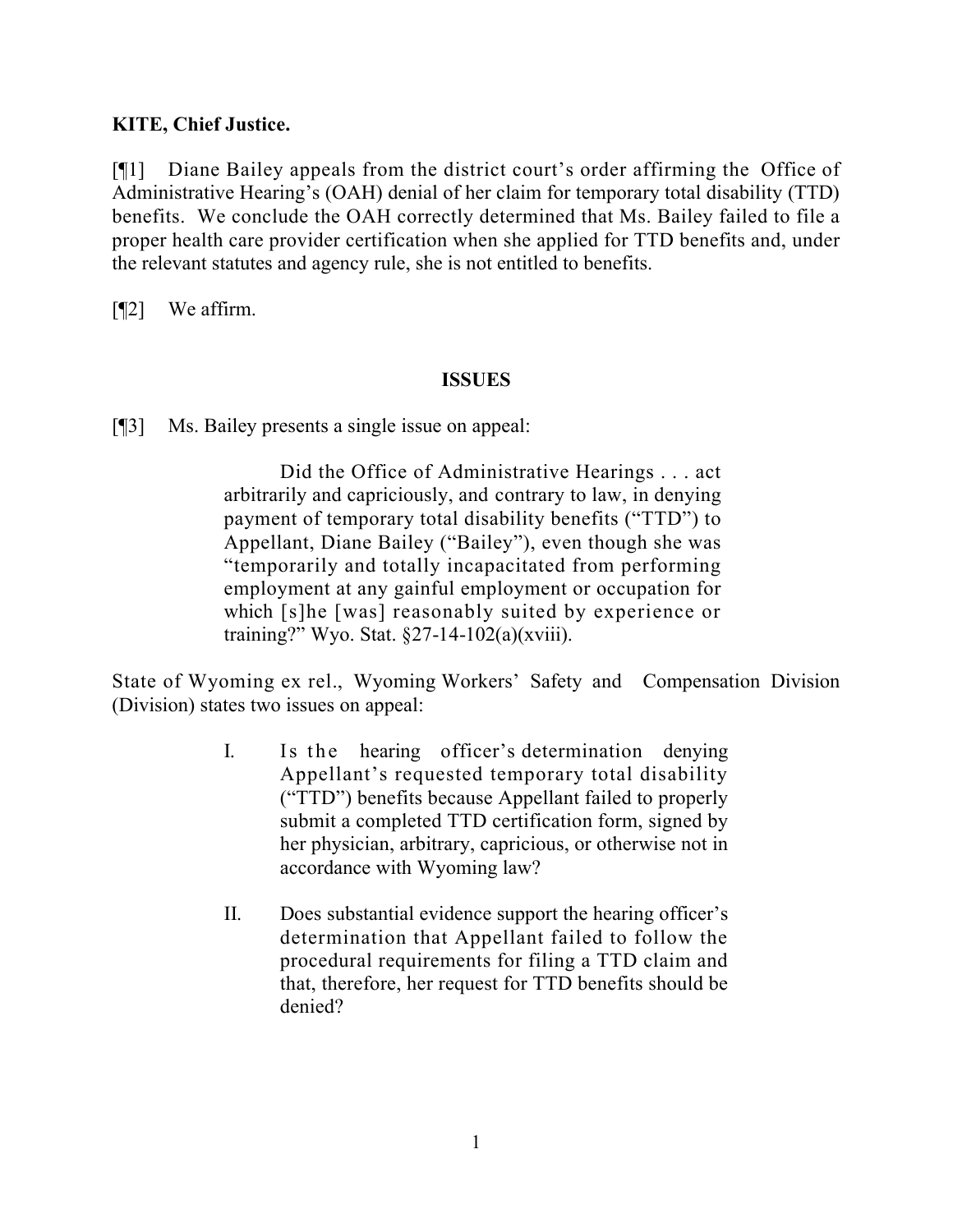# **KITE, Chief Justice.**

[¶1] Diane Bailey appeals from the district court's order affirming the Office of Administrative Hearing's (OAH) denial of her claim for temporary total disability (TTD) benefits. We conclude the OAH correctly determined that Ms. Bailey failed to file a proper health care provider certification when she applied for TTD benefits and, under the relevant statutes and agency rule, she is not entitled to benefits.

[¶2] We affirm.

## **ISSUES**

[¶3] Ms. Bailey presents a single issue on appeal:

Did the Office of Administrative Hearings . . . act arbitrarily and capriciously, and contrary to law, in denying payment of temporary total disability benefits ("TTD") to Appellant, Diane Bailey ("Bailey"), even though she was "temporarily and totally incapacitated from performing employment at any gainful employment or occupation for which [s]he [was] reasonably suited by experience or training?" Wyo. Stat. §27-14-102(a)(xviii).

State of Wyoming ex rel., Wyoming Workers' Safety and Compensation Division (Division) states two issues on appeal:

- I. Is the hearing officer's determination denying Appellant's requested temporary total disability ("TTD") benefits because Appellant failed to properly submit a completed TTD certification form, signed by her physician, arbitrary, capricious, or otherwise not in accordance with Wyoming law?
- II. Does substantial evidence support the hearing officer's determination that Appellant failed to follow the procedural requirements for filing a TTD claim and that, therefore, her request for TTD benefits should be denied?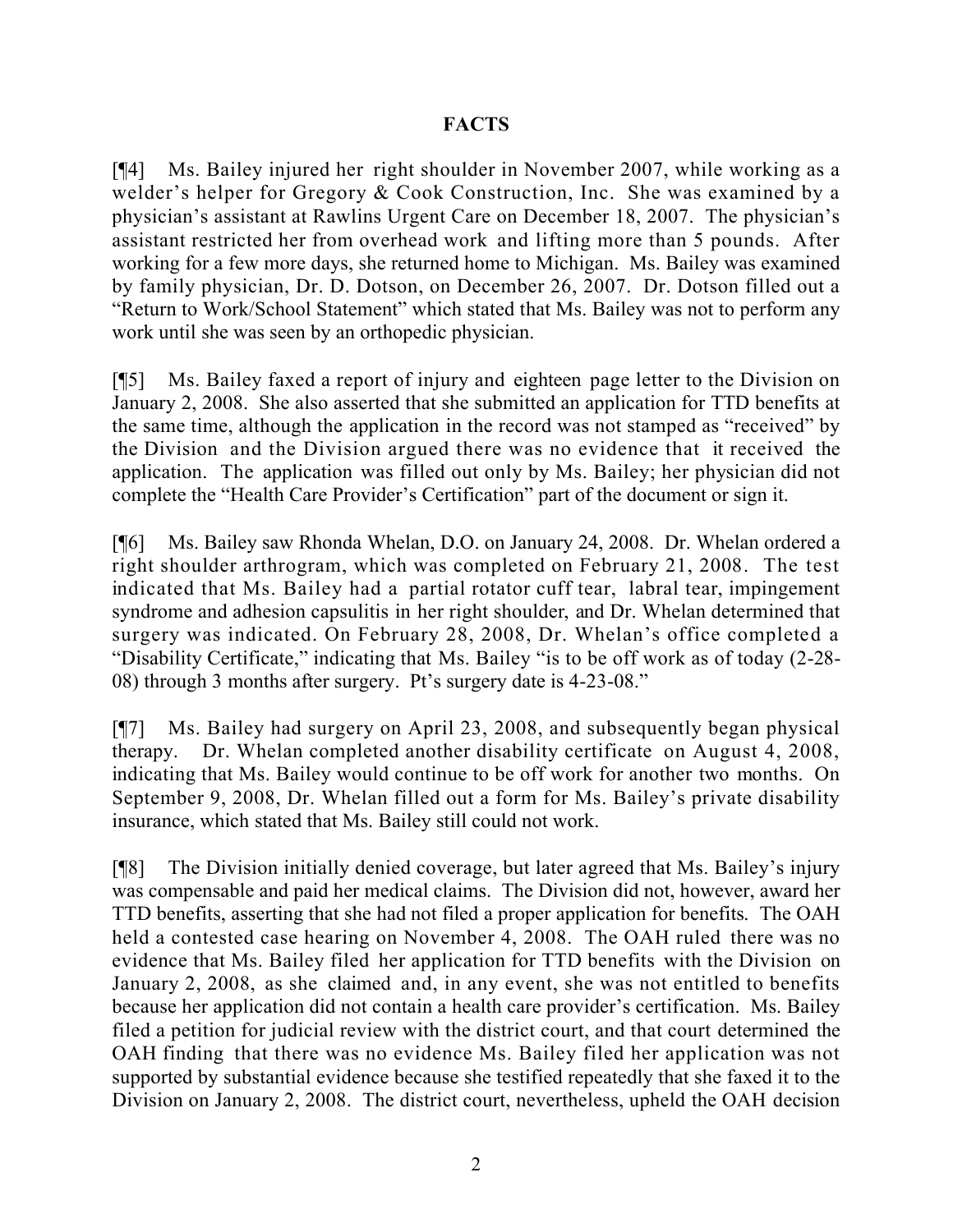# **FACTS**

[¶4] Ms. Bailey injured her right shoulder in November 2007, while working as a welder's helper for Gregory & Cook Construction, Inc. She was examined by a physician's assistant at Rawlins Urgent Care on December 18, 2007. The physician's assistant restricted her from overhead work and lifting more than 5 pounds. After working for a few more days, she returned home to Michigan. Ms. Bailey was examined by family physician, Dr. D. Dotson, on December 26, 2007. Dr. Dotson filled out a "Return to Work/School Statement" which stated that Ms. Bailey was not to perform any work until she was seen by an orthopedic physician.

[¶5] Ms. Bailey faxed a report of injury and eighteen page letter to the Division on January 2, 2008. She also asserted that she submitted an application for TTD benefits at the same time, although the application in the record was not stamped as "received" by the Division and the Division argued there was no evidence that it received the application. The application was filled out only by Ms. Bailey; her physician did not complete the "Health Care Provider's Certification" part of the document or sign it.

[¶6] Ms. Bailey saw Rhonda Whelan, D.O. on January 24, 2008. Dr. Whelan ordered a right shoulder arthrogram, which was completed on February 21, 2008. The test indicated that Ms. Bailey had a partial rotator cuff tear, labral tear, impingement syndrome and adhesion capsulitis in her right shoulder, and Dr. Whelan determined that surgery was indicated. On February 28, 2008, Dr. Whelan's office completed a "Disability Certificate," indicating that Ms. Bailey "is to be off work as of today (2-28- 08) through 3 months after surgery. Pt's surgery date is 4-23-08."

[¶7] Ms. Bailey had surgery on April 23, 2008, and subsequently began physical therapy. Dr. Whelan completed another disability certificate on August 4, 2008, indicating that Ms. Bailey would continue to be off work for another two months. On September 9, 2008, Dr. Whelan filled out a form for Ms. Bailey's private disability insurance, which stated that Ms. Bailey still could not work.

[¶8] The Division initially denied coverage, but later agreed that Ms. Bailey's injury was compensable and paid her medical claims. The Division did not, however, award her TTD benefits, asserting that she had not filed a proper application for benefits. The OAH held a contested case hearing on November 4, 2008. The OAH ruled there was no evidence that Ms. Bailey filed her application for TTD benefits with the Division on January 2, 2008, as she claimed and, in any event, she was not entitled to benefits because her application did not contain a health care provider's certification. Ms. Bailey filed a petition for judicial review with the district court, and that court determined the OAH finding that there was no evidence Ms. Bailey filed her application was not supported by substantial evidence because she testified repeatedly that she faxed it to the Division on January 2, 2008. The district court, nevertheless, upheld the OAH decision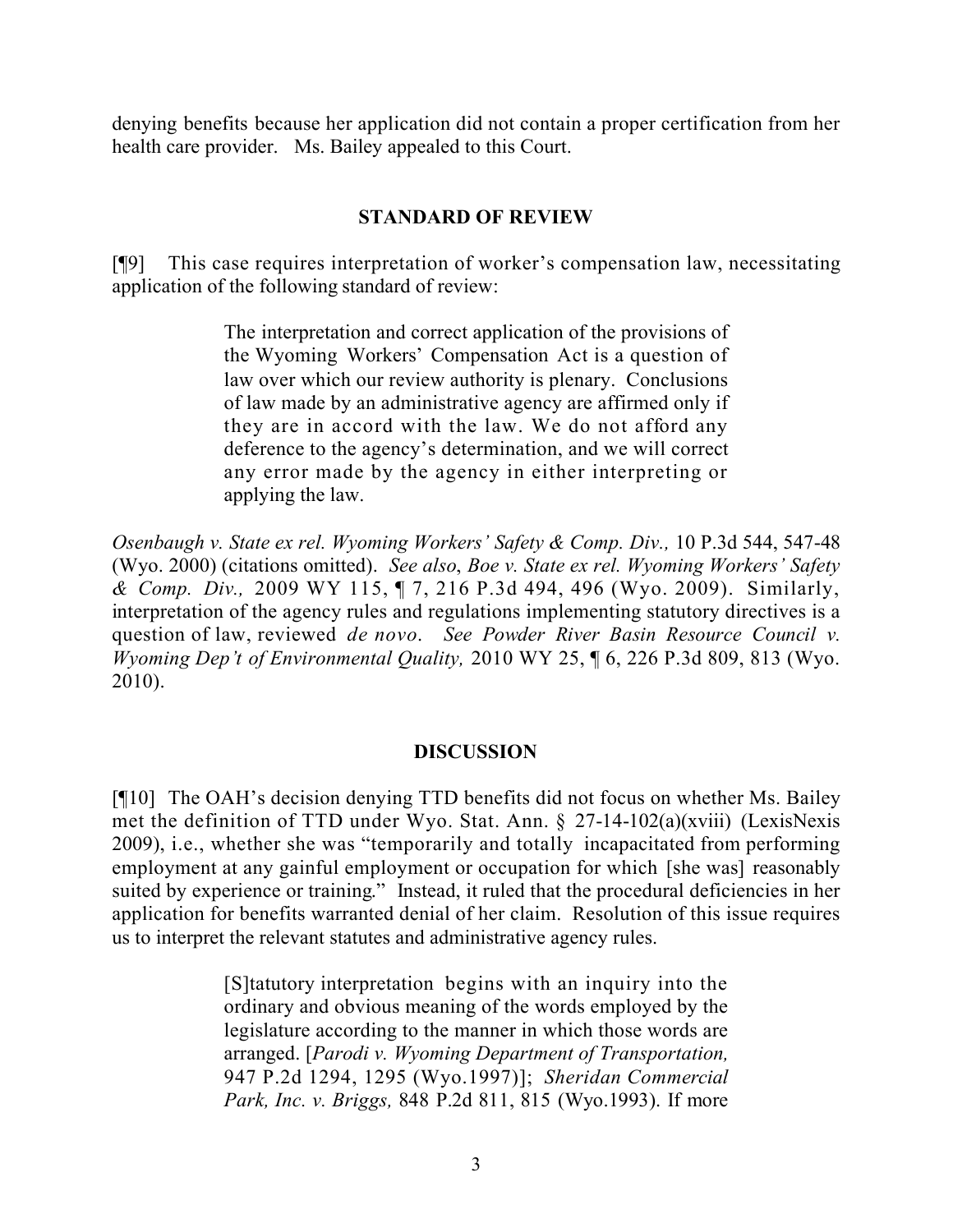denying benefits because her application did not contain a proper certification from her health care provider. Ms. Bailey appealed to this Court.

## **STANDARD OF REVIEW**

[¶9] This case requires interpretation of worker's compensation law, necessitating application of the following standard of review:

> The interpretation and correct application of the provisions of the Wyoming Workers' Compensation Act is a question of law over which our review authority is plenary. Conclusions of law made by an administrative agency are affirmed only if they are in accord with the law. We do not afford any deference to the agency's determination, and we will correct any error made by the agency in either interpreting or applying the law.

*Osenbaugh v. State ex rel. Wyoming Workers' Safety & Comp. Div.,* 10 P.3d 544, 547-48 (Wyo. 2000) (citations omitted). *See also*, *Boe v. State ex rel. Wyoming Workers' Safety & Comp. Div.,* 2009 WY 115, ¶ 7, 216 P.3d 494, 496 (Wyo. 2009). Similarly, interpretation of the agency rules and regulations implementing statutory directives is a question of law, reviewed *de novo*. *See Powder River Basin Resource Council v. Wyoming Dep't of Environmental Quality,* 2010 WY 25, ¶ 6, 226 P.3d 809, 813 (Wyo. 2010).

## **DISCUSSION**

[¶10] The OAH's decision denying TTD benefits did not focus on whether Ms. Bailey met the definition of TTD under Wyo. Stat. Ann. § 27-14-102(a)(xviii) (LexisNexis 2009), i.e., whether she was "temporarily and totally incapacitated from performing employment at any gainful employment or occupation for which [she was] reasonably suited by experience or training." Instead, it ruled that the procedural deficiencies in her application for benefits warranted denial of her claim. Resolution of this issue requires us to interpret the relevant statutes and administrative agency rules.

> [S]tatutory interpretation begins with an inquiry into the ordinary and obvious meaning of the words employed by the legislature according to the manner in which those words are arranged. [*Parodi v. Wyoming Department of Transportation,* 947 P.2d 1294, 1295 (Wyo.1997)]; *Sheridan Commercial Park, Inc. v. Briggs,* 848 P.2d 811, 815 (Wyo.1993). If more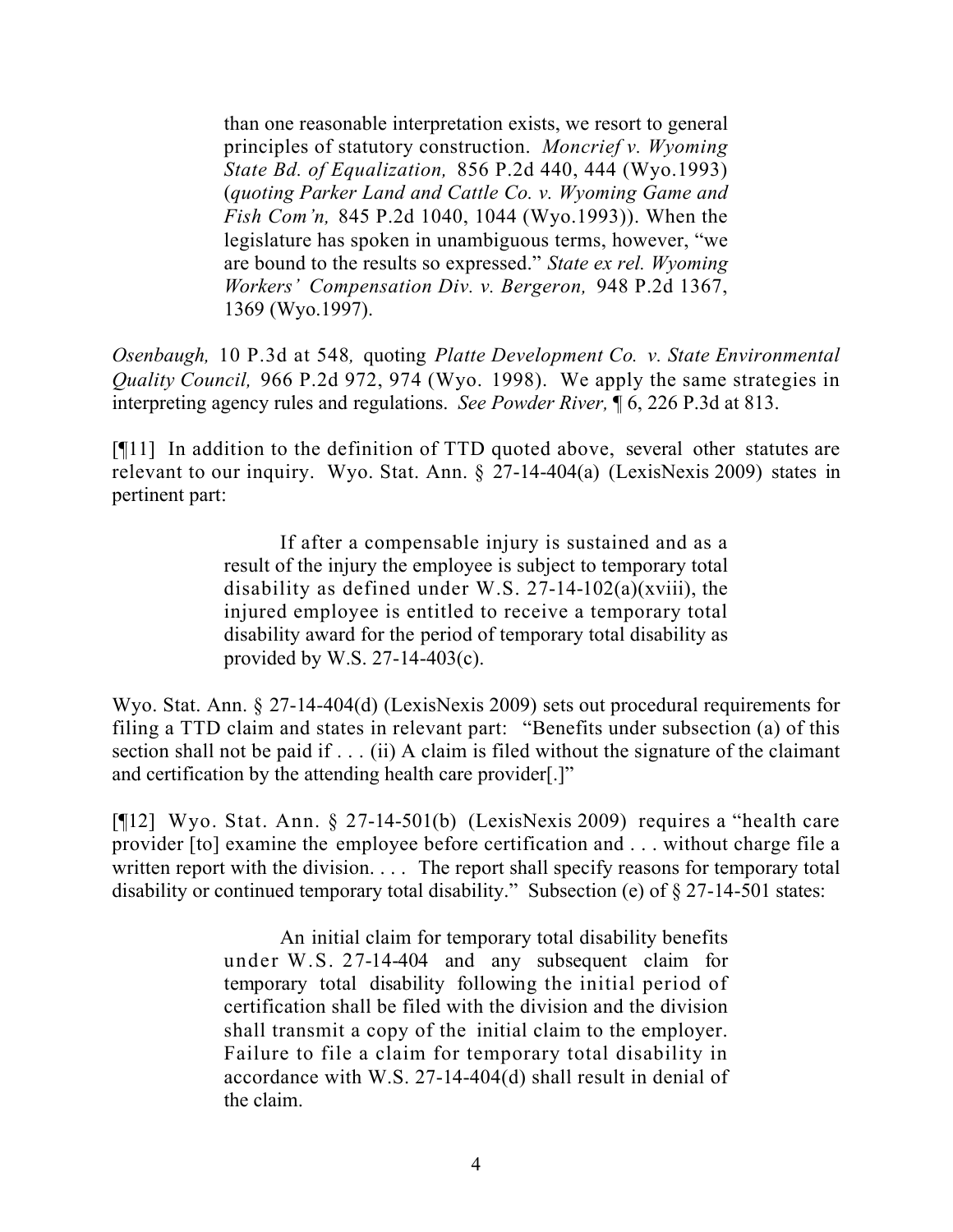than one reasonable interpretation exists, we resort to general principles of statutory construction. *Moncrief v. Wyoming State Bd. of Equalization,* 856 P.2d 440, 444 (Wyo.1993) (*quoting Parker Land and Cattle Co. v. Wyoming Game and Fish Com'n,* 845 P.2d 1040, 1044 (Wyo.1993)). When the legislature has spoken in unambiguous terms, however, "we are bound to the results so expressed." *State ex rel. Wyoming Workers' Compensation Div. v. Bergeron,* 948 P.2d 1367, 1369 (Wyo.1997).

*Osenbaugh,* 10 P.3d at 548*,* quoting *Platte Development Co. v. State Environmental Quality Council,* 966 P.2d 972, 974 (Wyo. 1998). We apply the same strategies in interpreting agency rules and regulations. *See Powder River,* ¶ 6, 226 P.3d at 813.

[¶11] In addition to the definition of TTD quoted above, several other statutes are relevant to our inquiry. Wyo. Stat. Ann. § 27-14-404(a) (LexisNexis 2009) states in pertinent part:

> If after a compensable injury is sustained and as a result of the injury the employee is subject to temporary total disability as defined under W.S.  $27-14-102(a)(xviii)$ , the injured employee is entitled to receive a temporary total disability award for the period of temporary total disability as provided by W.S. 27-14-403(c).

Wyo. Stat. Ann. § 27-14-404(d) (LexisNexis 2009) sets out procedural requirements for filing a TTD claim and states in relevant part: "Benefits under subsection (a) of this section shall not be paid if . . . (ii) A claim is filed without the signature of the claimant and certification by the attending health care provider[.]"

[¶12] Wyo. Stat. Ann. § 27-14-501(b) (LexisNexis 2009) requires a "health care provider [to] examine the employee before certification and . . . without charge file a written report with the division. . . . The report shall specify reasons for temporary total disability or continued temporary total disability." Subsection (e) of § 27-14-501 states:

> An initial claim for temporary total disability benefits under W.S. 27-14-404 and any subsequent claim for temporary total disability following the initial period of certification shall be filed with the division and the division shall transmit a copy of the initial claim to the employer. Failure to file a claim for temporary total disability in accordance with W.S. 27-14-404(d) shall result in denial of the claim.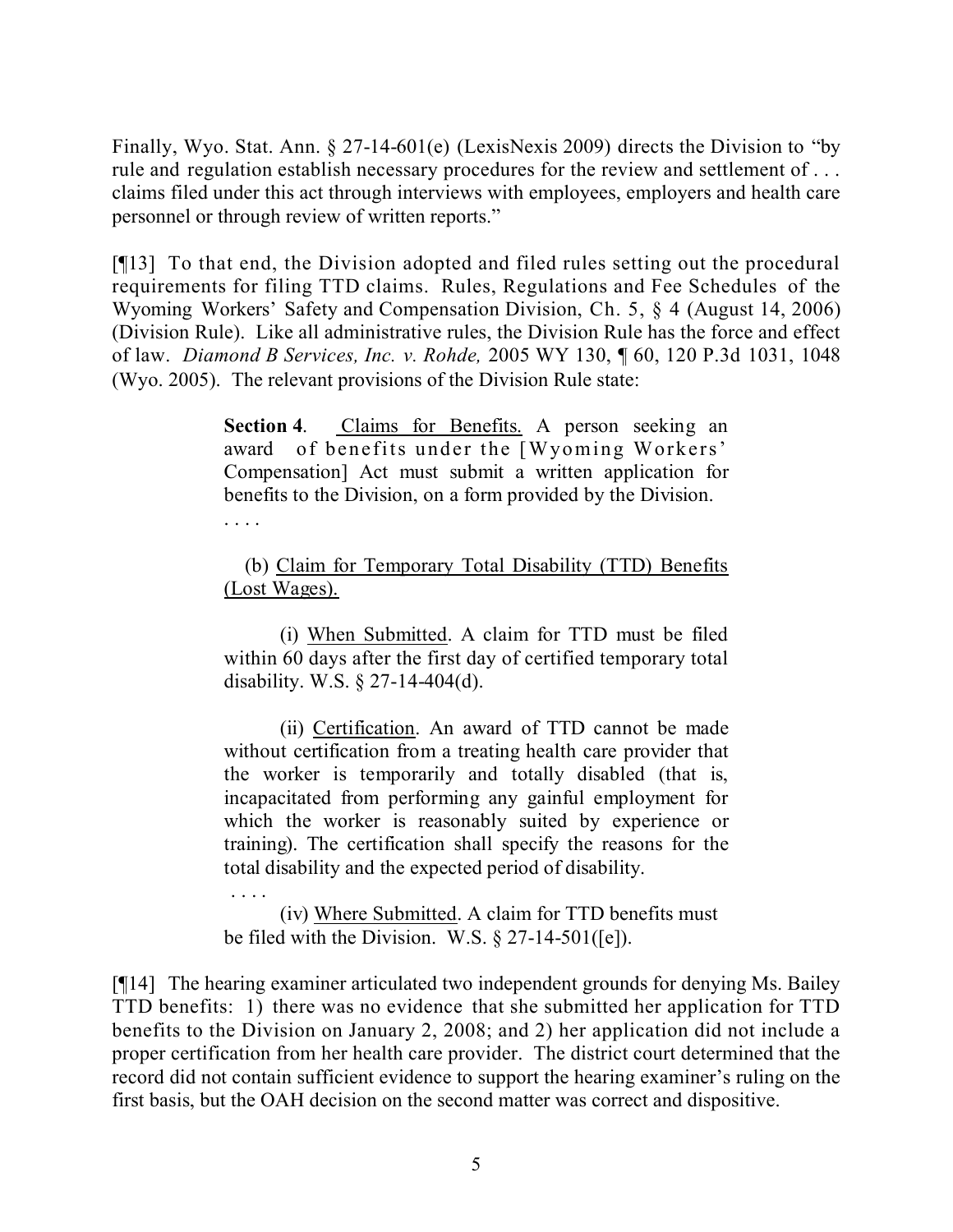Finally, Wyo. Stat. Ann. § 27-14-601(e) (LexisNexis 2009) directs the Division to "by rule and regulation establish necessary procedures for the review and settlement of . . . claims filed under this act through interviews with employees, employers and health care personnel or through review of written reports."

[¶13] To that end, the Division adopted and filed rules setting out the procedural requirements for filing TTD claims. Rules, Regulations and Fee Schedules of the Wyoming Workers' Safety and Compensation Division, Ch. 5, § 4 (August 14, 2006) (Division Rule). Like all administrative rules, the Division Rule has the force and effect of law. *Diamond B Services, Inc. v. Rohde,* 2005 WY 130, ¶ 60, 120 P.3d 1031, 1048 (Wyo. 2005). The relevant provisions of the Division Rule state:

> **Section 4.** Claims for Benefits. A person seeking an award of benefits under the [Wyoming Workers' Compensation] Act must submit a written application for benefits to the Division, on a form provided by the Division.

> (b) Claim for Temporary Total Disability (TTD) Benefits (Lost Wages).

. . . .

. . . .

(i) When Submitted. A claim for TTD must be filed within 60 days after the first day of certified temporary total disability. W.S. § 27-14-404(d).

(ii) Certification. An award of TTD cannot be made without certification from a treating health care provider that the worker is temporarily and totally disabled (that is, incapacitated from performing any gainful employment for which the worker is reasonably suited by experience or training). The certification shall specify the reasons for the total disability and the expected period of disability.

(iv) Where Submitted. A claim for TTD benefits must be filed with the Division. W.S. § 27-14-501([e]).

[¶14] The hearing examiner articulated two independent grounds for denying Ms. Bailey TTD benefits: 1) there was no evidence that she submitted her application for TTD benefits to the Division on January 2, 2008; and 2) her application did not include a proper certification from her health care provider. The district court determined that the record did not contain sufficient evidence to support the hearing examiner's ruling on the first basis, but the OAH decision on the second matter was correct and dispositive.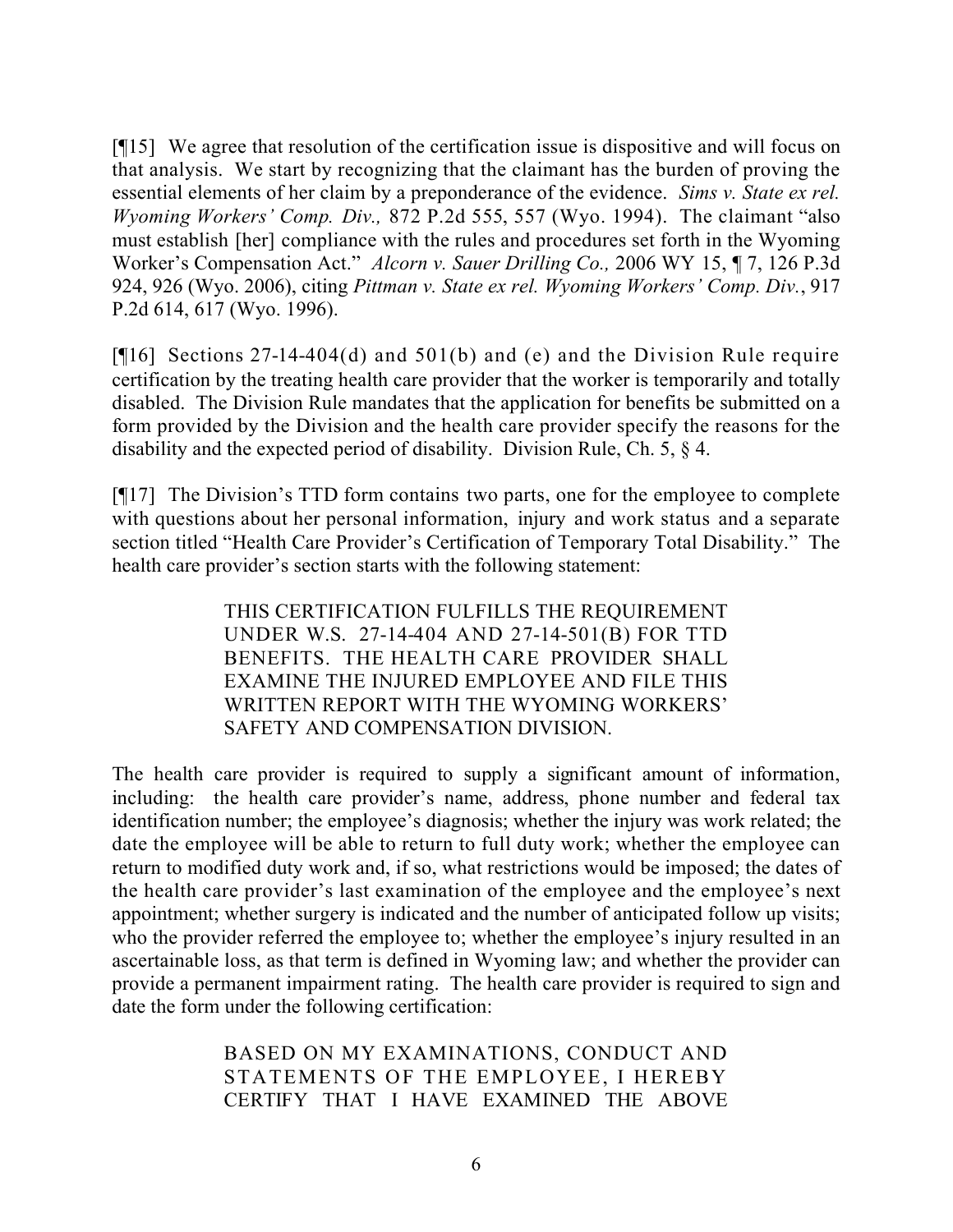[¶15] We agree that resolution of the certification issue is dispositive and will focus on that analysis. We start by recognizing that the claimant has the burden of proving the essential elements of her claim by a preponderance of the evidence. *Sims v. State ex rel. Wyoming Workers' Comp. Div.,* 872 P.2d 555, 557 (Wyo. 1994). The claimant "also must establish [her] compliance with the rules and procedures set forth in the Wyoming Worker's Compensation Act." *Alcorn v. Sauer Drilling Co.,* 2006 WY 15, ¶ 7, 126 P.3d 924, 926 (Wyo. 2006), citing *Pittman v. State ex rel. Wyoming Workers' Comp. Div.*, 917 P.2d 614, 617 (Wyo. 1996).

[ $[16]$ ] Sections 27-14-404(d) and 501(b) and (e) and the Division Rule require certification by the treating health care provider that the worker is temporarily and totally disabled. The Division Rule mandates that the application for benefits be submitted on a form provided by the Division and the health care provider specify the reasons for the disability and the expected period of disability. Division Rule, Ch. 5, § 4.

[¶17] The Division's TTD form contains two parts, one for the employee to complete with questions about her personal information, injury and work status and a separate section titled "Health Care Provider's Certification of Temporary Total Disability." The health care provider's section starts with the following statement:

> THIS CERTIFICATION FULFILLS THE REQUIREMENT UNDER W.S. 27-14-404 AND 27-14-501(B) FOR TTD BENEFITS. THE HEALTH CARE PROVIDER SHALL EXAMINE THE INJURED EMPLOYEE AND FILE THIS WRITTEN REPORT WITH THE WYOMING WORKERS' SAFETY AND COMPENSATION DIVISION.

The health care provider is required to supply a significant amount of information, including: the health care provider's name, address, phone number and federal tax identification number; the employee's diagnosis; whether the injury was work related; the date the employee will be able to return to full duty work; whether the employee can return to modified duty work and, if so, what restrictions would be imposed; the dates of the health care provider's last examination of the employee and the employee's next appointment; whether surgery is indicated and the number of anticipated follow up visits; who the provider referred the employee to; whether the employee's injury resulted in an ascertainable loss, as that term is defined in Wyoming law; and whether the provider can provide a permanent impairment rating. The health care provider is required to sign and date the form under the following certification:

> BASED ON MY EXAMINATIONS, CONDUCT AND STATEMENTS OF THE EMPLOYEE, I HEREBY CERTIFY THAT I HAVE EXAMINED THE ABOVE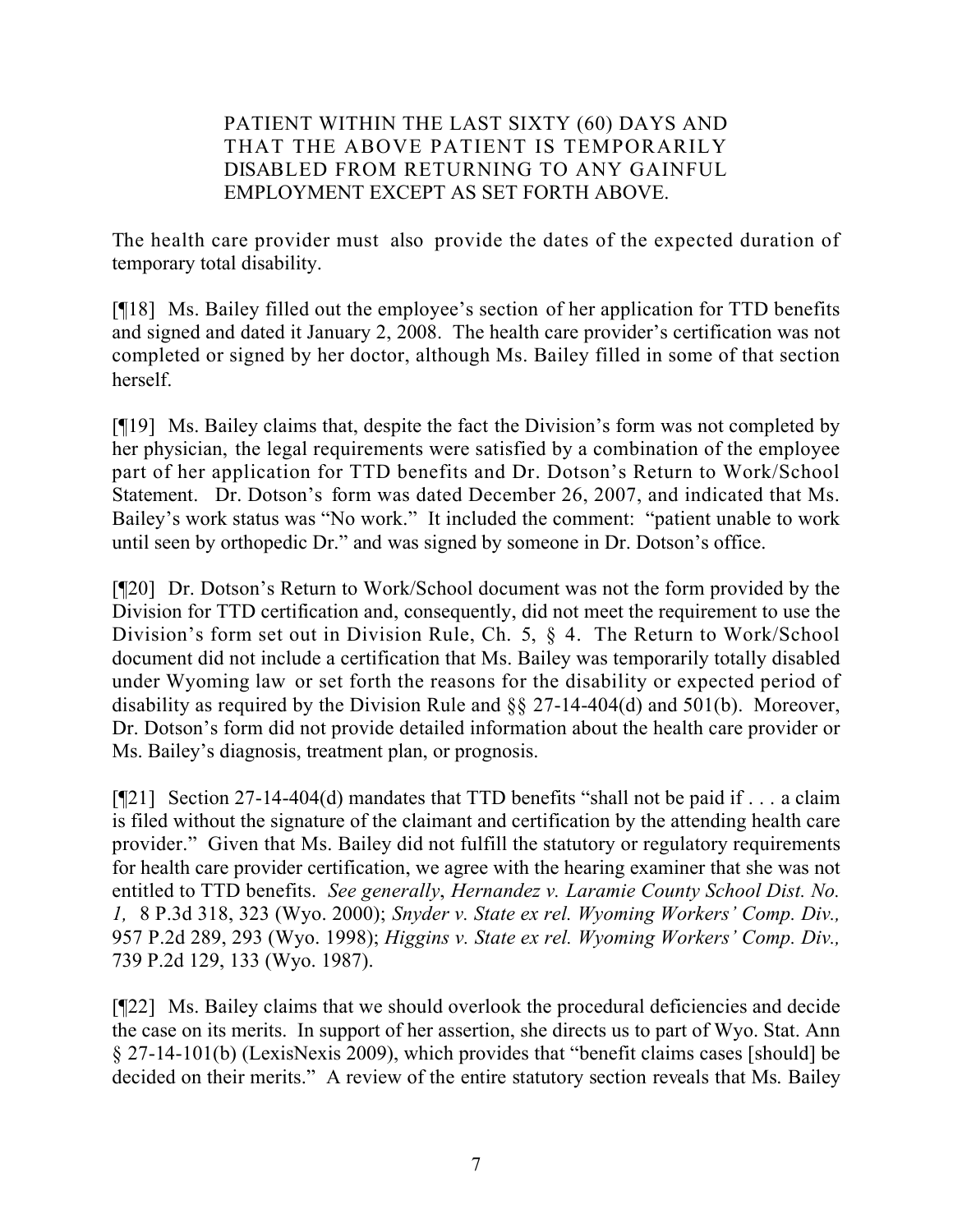## PATIENT WITHIN THE LAST SIXTY (60) DAYS AND THAT THE ABOVE PATIENT IS TEMPORARILY DISABLED FROM RETURNING TO ANY GAINFUL EMPLOYMENT EXCEPT AS SET FORTH ABOVE.

The health care provider must also provide the dates of the expected duration of temporary total disability.

[¶18] Ms. Bailey filled out the employee's section of her application for TTD benefits and signed and dated it January 2, 2008. The health care provider's certification was not completed or signed by her doctor, although Ms. Bailey filled in some of that section herself.

[¶19] Ms. Bailey claims that, despite the fact the Division's form was not completed by her physician, the legal requirements were satisfied by a combination of the employee part of her application for TTD benefits and Dr. Dotson's Return to Work/School Statement. Dr. Dotson's form was dated December 26, 2007, and indicated that Ms. Bailey's work status was "No work." It included the comment: "patient unable to work until seen by orthopedic Dr." and was signed by someone in Dr. Dotson's office.

[¶20] Dr. Dotson's Return to Work/School document was not the form provided by the Division for TTD certification and, consequently, did not meet the requirement to use the Division's form set out in Division Rule, Ch. 5, § 4. The Return to Work/School document did not include a certification that Ms. Bailey was temporarily totally disabled under Wyoming law or set forth the reasons for the disability or expected period of disability as required by the Division Rule and §§ 27-14-404(d) and 501(b). Moreover, Dr. Dotson's form did not provide detailed information about the health care provider or Ms. Bailey's diagnosis, treatment plan, or prognosis.

[¶21] Section 27-14-404(d) mandates that TTD benefits "shall not be paid if . . . a claim is filed without the signature of the claimant and certification by the attending health care provider." Given that Ms. Bailey did not fulfill the statutory or regulatory requirements for health care provider certification, we agree with the hearing examiner that she was not entitled to TTD benefits. *See generally*, *Hernandez v. Laramie County School Dist. No. 1,* 8 P.3d 318, 323 (Wyo. 2000); *Snyder v. State ex rel. Wyoming Workers' Comp. Div.,*  957 P.2d 289, 293 (Wyo. 1998); *Higgins v. State ex rel. Wyoming Workers' Comp. Div.,*  739 P.2d 129, 133 (Wyo. 1987).

[¶22] Ms. Bailey claims that we should overlook the procedural deficiencies and decide the case on its merits. In support of her assertion, she directs us to part of Wyo. Stat. Ann § 27-14-101(b) (LexisNexis 2009), which provides that "benefit claims cases [should] be decided on their merits." A review of the entire statutory section reveals that Ms. Bailey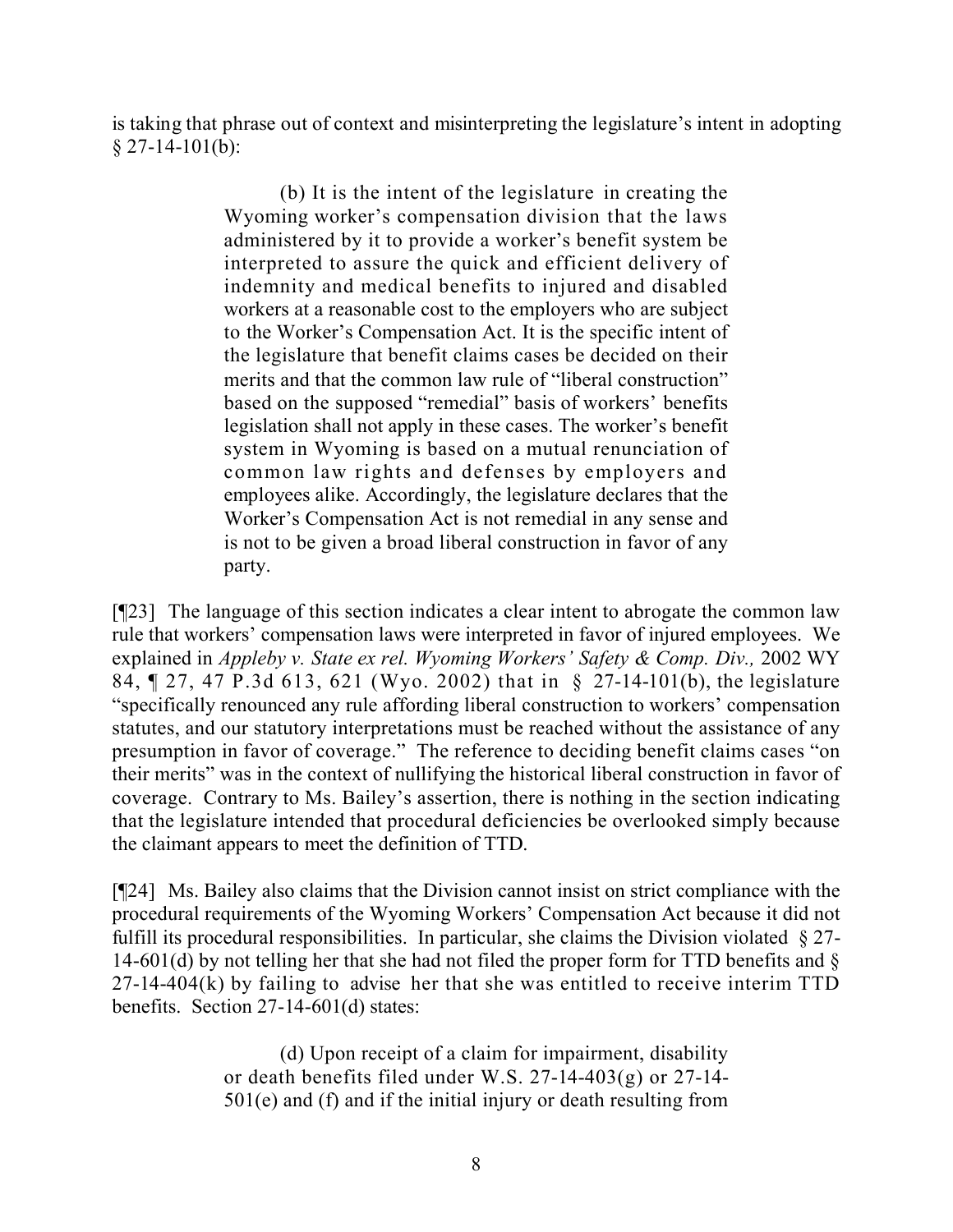is taking that phrase out of context and misinterpreting the legislature's intent in adopting  $§$  27-14-101(b):

> (b) It is the intent of the legislature in creating the Wyoming worker's compensation division that the laws administered by it to provide a worker's benefit system be interpreted to assure the quick and efficient delivery of indemnity and medical benefits to injured and disabled workers at a reasonable cost to the employers who are subject to the Worker's Compensation Act. It is the specific intent of the legislature that benefit claims cases be decided on their merits and that the common law rule of "liberal construction" based on the supposed "remedial" basis of workers' benefits legislation shall not apply in these cases. The worker's benefit system in Wyoming is based on a mutual renunciation of common law rights and defenses by employers and employees alike. Accordingly, the legislature declares that the Worker's Compensation Act is not remedial in any sense and is not to be given a broad liberal construction in favor of any party.

[¶23] The language of this section indicates a clear intent to abrogate the common law rule that workers' compensation laws were interpreted in favor of injured employees. We explained in *Appleby v. State ex rel. Wyoming Workers' Safety & Comp. Div.,* 2002 WY 84, ¶ 27, 47 P.3d 613, 621 (Wyo. 2002) that in § 27-14-101(b), the legislature "specifically renounced any rule affording liberal construction to workers' compensation statutes, and our statutory interpretations must be reached without the assistance of any presumption in favor of coverage." The reference to deciding benefit claims cases "on their merits" was in the context of nullifying the historical liberal construction in favor of coverage. Contrary to Ms. Bailey's assertion, there is nothing in the section indicating that the legislature intended that procedural deficiencies be overlooked simply because the claimant appears to meet the definition of TTD.

[¶24] Ms. Bailey also claims that the Division cannot insist on strict compliance with the procedural requirements of the Wyoming Workers' Compensation Act because it did not fulfill its procedural responsibilities. In particular, she claims the Division violated  $\S 27$ -14-601(d) by not telling her that she had not filed the proper form for TTD benefits and  $\delta$ 27-14-404(k) by failing to advise her that she was entitled to receive interim TTD benefits. Section 27-14-601(d) states:

> (d) Upon receipt of a claim for impairment, disability or death benefits filed under W.S. 27-14-403(g) or 27-14- 501(e) and (f) and if the initial injury or death resulting from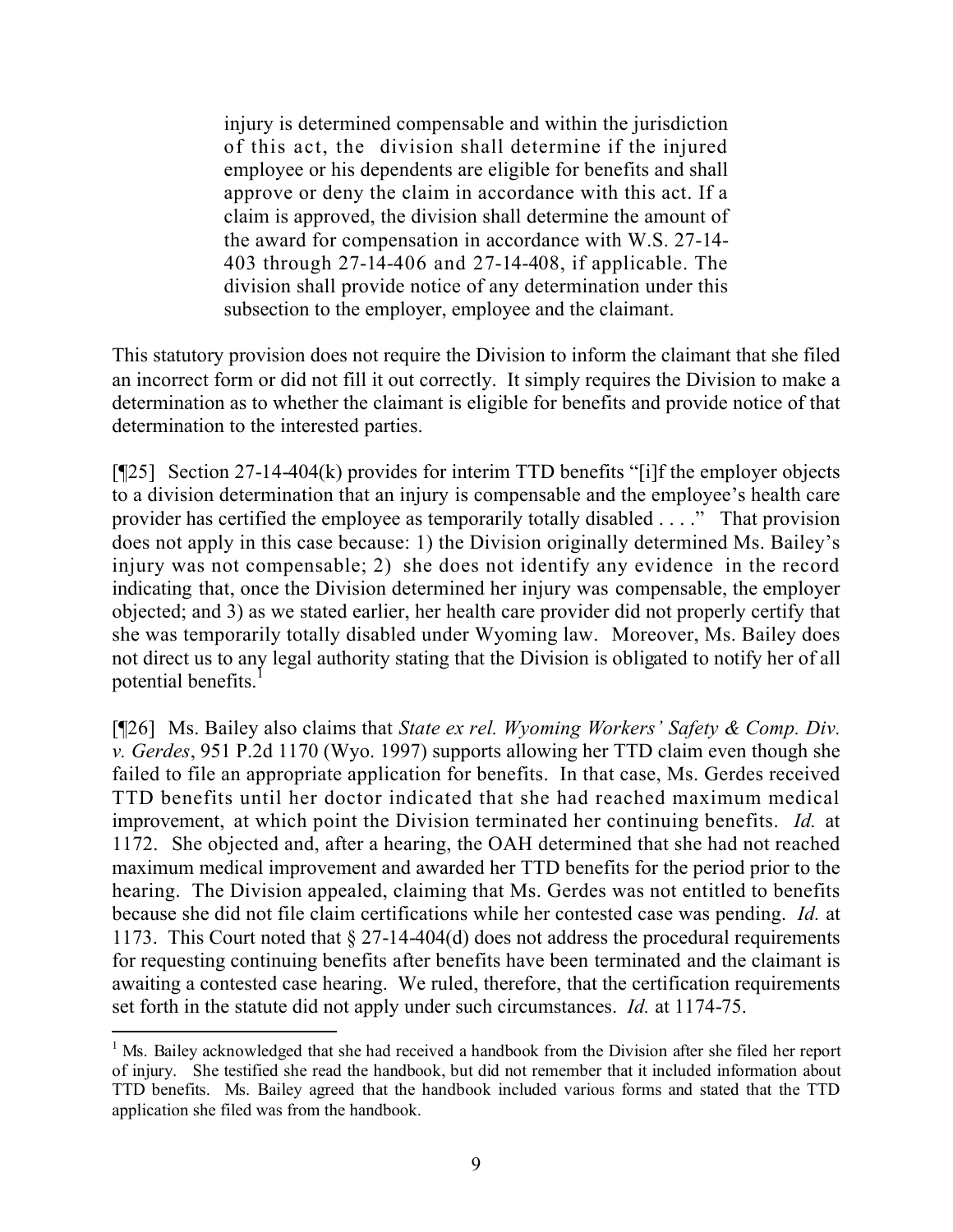injury is determined compensable and within the jurisdiction of this act, the division shall determine if the injured employee or his dependents are eligible for benefits and shall approve or deny the claim in accordance with this act. If a claim is approved, the division shall determine the amount of the award for compensation in accordance with W.S. 27-14- 403 through 27-14-406 and 27-14-408, if applicable. The division shall provide notice of any determination under this subsection to the employer, employee and the claimant.

This statutory provision does not require the Division to inform the claimant that she filed an incorrect form or did not fill it out correctly. It simply requires the Division to make a determination as to whether the claimant is eligible for benefits and provide notice of that determination to the interested parties.

[¶25] Section 27-14-404(k) provides for interim TTD benefits "[i]f the employer objects to a division determination that an injury is compensable and the employee's health care provider has certified the employee as temporarily totally disabled . . . ." That provision does not apply in this case because: 1) the Division originally determined Ms. Bailey's injury was not compensable; 2) she does not identify any evidence in the record indicating that, once the Division determined her injury was compensable, the employer objected; and 3) as we stated earlier, her health care provider did not properly certify that she was temporarily totally disabled under Wyoming law. Moreover, Ms. Bailey does not direct us to any legal authority stating that the Division is obligated to notify her of all potential benefits.<sup>1</sup>

[¶26] Ms. Bailey also claims that *State ex rel. Wyoming Workers' Safety & Comp. Div. v. Gerdes*, 951 P.2d 1170 (Wyo. 1997) supports allowing her TTD claim even though she failed to file an appropriate application for benefits. In that case, Ms. Gerdes received TTD benefits until her doctor indicated that she had reached maximum medical improvement, at which point the Division terminated her continuing benefits. *Id.* at 1172. She objected and, after a hearing, the OAH determined that she had not reached maximum medical improvement and awarded her TTD benefits for the period prior to the hearing. The Division appealed, claiming that Ms. Gerdes was not entitled to benefits because she did not file claim certifications while her contested case was pending. *Id.* at 1173. This Court noted that § 27-14-404(d) does not address the procedural requirements for requesting continuing benefits after benefits have been terminated and the claimant is awaiting a contested case hearing. We ruled, therefore, that the certification requirements set forth in the statute did not apply under such circumstances. *Id.* at 1174-75.

 $\overline{a}$ 

<sup>&</sup>lt;sup>1</sup> Ms. Bailey acknowledged that she had received a handbook from the Division after she filed her report of injury. She testified she read the handbook, but did not remember that it included information about TTD benefits. Ms. Bailey agreed that the handbook included various forms and stated that the TTD application she filed was from the handbook.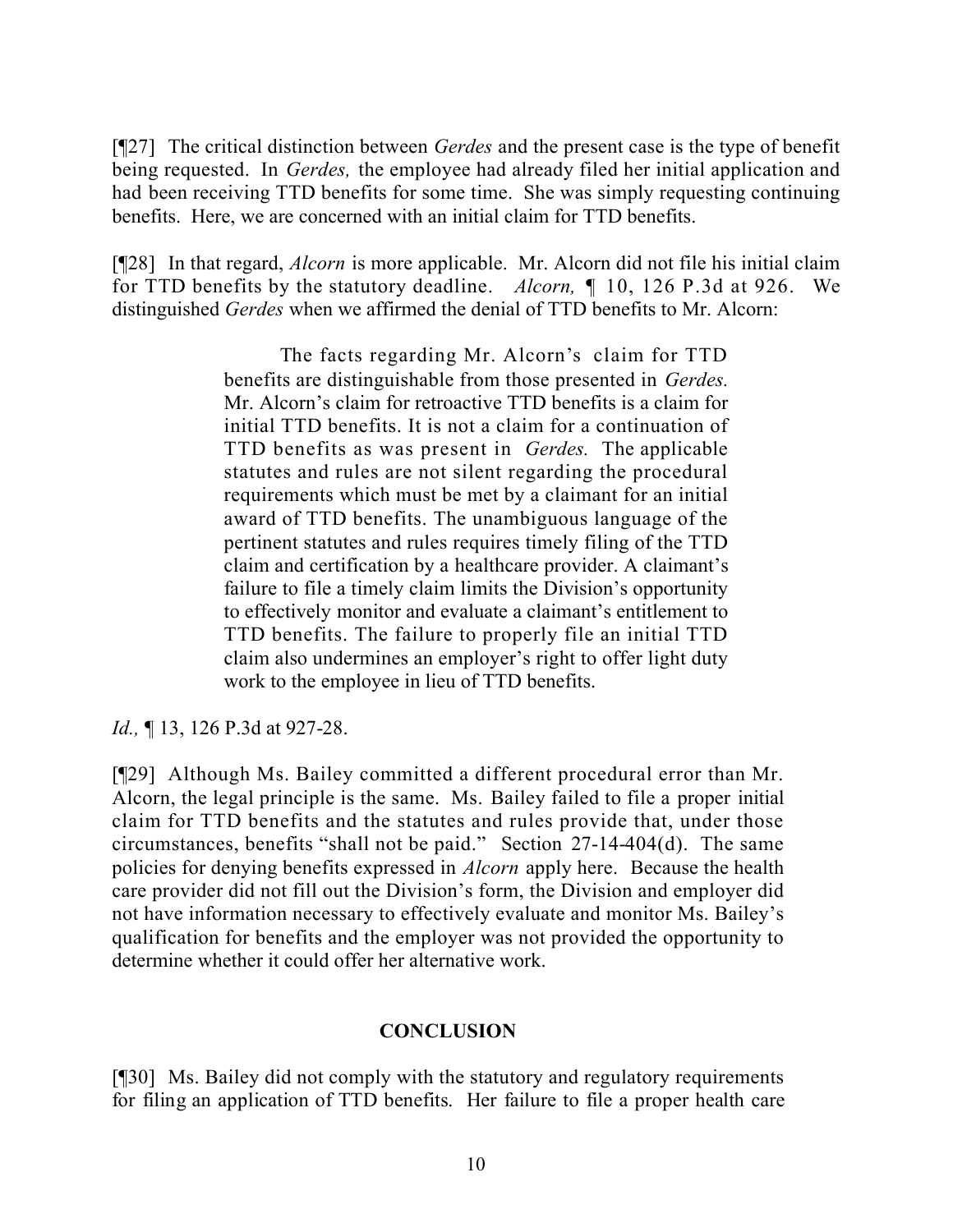[¶27] The critical distinction between *Gerdes* and the present case is the type of benefit being requested. In *Gerdes,* the employee had already filed her initial application and had been receiving TTD benefits for some time. She was simply requesting continuing benefits. Here, we are concerned with an initial claim for TTD benefits.

[¶28] In that regard, *Alcorn* is more applicable. Mr. Alcorn did not file his initial claim for TTD benefits by the statutory deadline. *Alcorn,* ¶ 10, 126 P.3d at 926. We distinguished *Gerdes* when we affirmed the denial of TTD benefits to Mr. Alcorn:

> The facts regarding Mr. Alcorn's claim for TTD benefits are distinguishable from those presented in *Gerdes.* Mr. Alcorn's claim for retroactive TTD benefits is a claim for initial TTD benefits. It is not a claim for a continuation of TTD benefits as was present in *Gerdes.* The applicable statutes and rules are not silent regarding the procedural requirements which must be met by a claimant for an initial award of TTD benefits. The unambiguous language of the pertinent statutes and rules requires timely filing of the TTD claim and certification by a healthcare provider. A claimant's failure to file a timely claim limits the Division's opportunity to effectively monitor and evaluate a claimant's entitlement to TTD benefits. The failure to properly file an initial TTD claim also undermines an employer's right to offer light duty work to the employee in lieu of TTD benefits.

*Id.*, **[13, 126 P.3d at 927-28.** 

[¶29] Although Ms. Bailey committed a different procedural error than Mr. Alcorn, the legal principle is the same. Ms. Bailey failed to file a proper initial claim for TTD benefits and the statutes and rules provide that, under those circumstances, benefits "shall not be paid." Section 27-14-404(d). The same policies for denying benefits expressed in *Alcorn* apply here. Because the health care provider did not fill out the Division's form, the Division and employer did not have information necessary to effectively evaluate and monitor Ms. Bailey's qualification for benefits and the employer was not provided the opportunity to determine whether it could offer her alternative work.

## **CONCLUSION**

[¶30] Ms. Bailey did not comply with the statutory and regulatory requirements for filing an application of TTD benefits. Her failure to file a proper health care